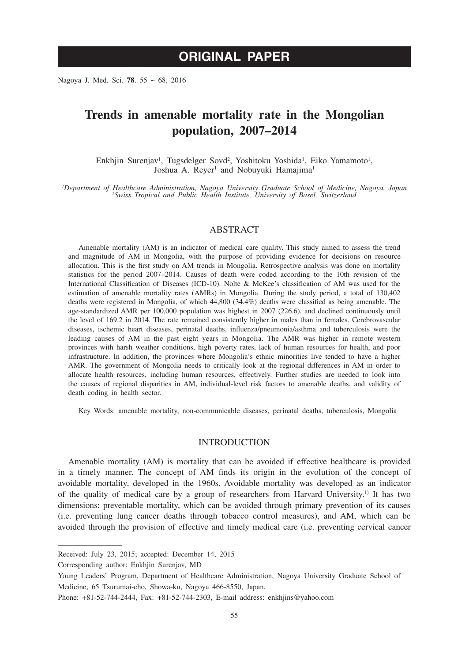# **ORIGINAL PAPER**

Nagoya J. Med. Sci. **78**. 55 ~ 68, 2016

# **Trends in amenable mortality rate in the Mongolian population, 2007–2014**

Enkhjin Surenjav<sup>1</sup>, Tugsdelger Sovd<sup>2</sup>, Yoshitoku Yoshida<sup>1</sup>, Eiko Yamamoto<sup>1</sup>, Joshua A. Reyer<sup>1</sup> and Nobuyuki Hamajima<sup>1</sup>

*1 Department of Healthcare Administration, Nagoya University Graduate School of Medicine, Nagoya, Japan <sup>2</sup> Swiss Tropical and Public Health Institute, University of Basel, Switzerland*

## ABSTRACT

Amenable mortality (AM) is an indicator of medical care quality. This study aimed to assess the trend and magnitude of AM in Mongolia, with the purpose of providing evidence for decisions on resource allocation. This is the first study on AM trends in Mongolia. Retrospective analysis was done on mortality statistics for the period 2007–2014. Causes of death were coded according to the 10th revision of the International Classification of Diseases (ICD-10). Nolte & McKee's classification of AM was used for the estimation of amenable mortality rates (AMRs) in Mongolia. During the study period, a total of 130,402 deaths were registered in Mongolia, of which 44,800 (34.4%) deaths were classified as being amenable. The age-standardized AMR per 100,000 population was highest in 2007 (226.6), and declined continuously until the level of 169.2 in 2014. The rate remained consistently higher in males than in females. Cerebrovascular diseases, ischemic heart diseases, perinatal deaths, influenza/pneumonia/asthma and tuberculosis were the leading causes of AM in the past eight years in Mongolia. The AMR was higher in remote western provinces with harsh weather conditions, high poverty rates, lack of human resources for health, and poor infrastructure. In addition, the provinces where Mongolia's ethnic minorities live tended to have a higher AMR. The government of Mongolia needs to critically look at the regional differences in AM in order to allocate health resources, including human resources, effectively. Further studies are needed to look into the causes of regional disparities in AM, individual-level risk factors to amenable deaths, and validity of death coding in health sector.

Key Words: amenable mortality, non-communicable diseases, perinatal deaths, tuberculosis, Mongolia

# INTRODUCTION

Amenable mortality (AM) is mortality that can be avoided if effective healthcare is provided in a timely manner. The concept of AM finds its origin in the evolution of the concept of avoidable mortality, developed in the 1960s. Avoidable mortality was developed as an indicator of the quality of medical care by a group of researchers from Harvard University.1) It has two dimensions: preventable mortality, which can be avoided through primary prevention of its causes (i.e. preventing lung cancer deaths through tobacco control measures), and AM, which can be avoided through the provision of effective and timely medical care (i.e. preventing cervical cancer

Received: July 23, 2015; accepted: December 14, 2015

Corresponding author: Enkhjin Surenjav, MD

Young Leaders' Program, Department of Healthcare Administration, Nagoya University Graduate School of Medicine, 65 Tsurumai-cho, Showa-ku, Nagoya 466-8550, Japan.

Phone: +81-52-744-2444, Fax: +81-52-744-2303, E-mail address: enkhjins@yahoo.com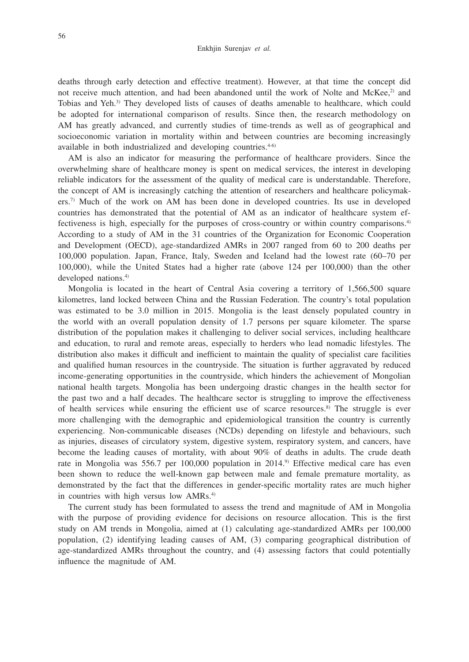deaths through early detection and effective treatment). However, at that time the concept did not receive much attention, and had been abandoned until the work of Nolte and McKee,<sup>2)</sup> and Tobias and Yeh.3) They developed lists of causes of deaths amenable to healthcare, which could be adopted for international comparison of results. Since then, the research methodology on AM has greatly advanced, and currently studies of time-trends as well as of geographical and socioeconomic variation in mortality within and between countries are becoming increasingly available in both industrialized and developing countries. $4-6$ 

AM is also an indicator for measuring the performance of healthcare providers. Since the overwhelming share of healthcare money is spent on medical services, the interest in developing reliable indicators for the assessment of the quality of medical care is understandable. Therefore, the concept of AM is increasingly catching the attention of researchers and healthcare policymakers.7) Much of the work on AM has been done in developed countries. Its use in developed countries has demonstrated that the potential of AM as an indicator of healthcare system effectiveness is high, especially for the purposes of cross-country or within country comparisons.4) According to a study of AM in the 31 countries of the Organization for Economic Cooperation and Development (OECD), age-standardized AMRs in 2007 ranged from 60 to 200 deaths per 100,000 population. Japan, France, Italy, Sweden and Iceland had the lowest rate (60–70 per 100,000), while the United States had a higher rate (above 124 per 100,000) than the other developed nations.<sup>4)</sup>

Mongolia is located in the heart of Central Asia covering a territory of 1,566,500 square kilometres, land locked between China and the Russian Federation. The country's total population was estimated to be 3.0 million in 2015. Mongolia is the least densely populated country in the world with an overall population density of 1.7 persons per square kilometer. The sparse distribution of the population makes it challenging to deliver social services, including healthcare and education, to rural and remote areas, especially to herders who lead nomadic lifestyles. The distribution also makes it difficult and inefficient to maintain the quality of specialist care facilities and qualified human resources in the countryside. The situation is further aggravated by reduced income-generating opportunities in the countryside, which hinders the achievement of Mongolian national health targets. Mongolia has been undergoing drastic changes in the health sector for the past two and a half decades. The healthcare sector is struggling to improve the effectiveness of health services while ensuring the efficient use of scarce resources.8) The struggle is ever more challenging with the demographic and epidemiological transition the country is currently experiencing. Non-communicable diseases (NCDs) depending on lifestyle and behaviours, such as injuries, diseases of circulatory system, digestive system, respiratory system, and cancers, have become the leading causes of mortality, with about 90% of deaths in adults. The crude death rate in Mongolia was 556.7 per 100,000 population in 2014.<sup>9</sup> Effective medical care has even been shown to reduce the well-known gap between male and female premature mortality, as demonstrated by the fact that the differences in gender-specific mortality rates are much higher in countries with high versus low AMRs.<sup>4)</sup>

The current study has been formulated to assess the trend and magnitude of AM in Mongolia with the purpose of providing evidence for decisions on resource allocation. This is the first study on AM trends in Mongolia, aimed at (1) calculating age-standardized AMRs per 100,000 population, (2) identifying leading causes of AM, (3) comparing geographical distribution of age-standardized AMRs throughout the country, and (4) assessing factors that could potentially influence the magnitude of AM.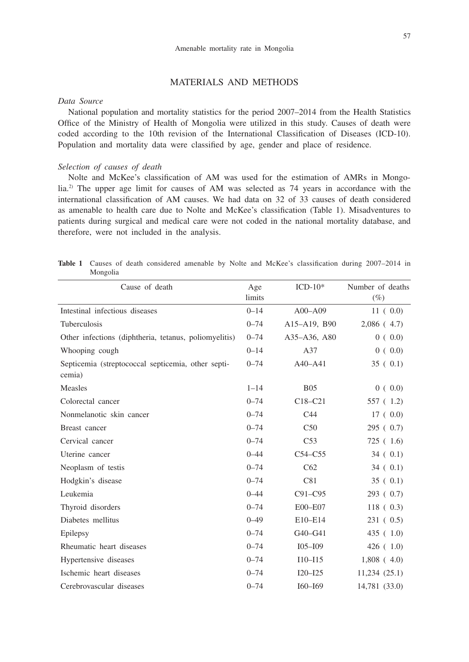# MATERIALS AND METHODS

## *Data Source*

National population and mortality statistics for the period 2007–2014 from the Health Statistics Office of the Ministry of Health of Mongolia were utilized in this study. Causes of death were coded according to the 10th revision of the International Classification of Diseases (ICD-10). Population and mortality data were classified by age, gender and place of residence.

## *Selection of causes of death*

Nolte and McKee's classification of AM was used for the estimation of AMRs in Mongolia.2) The upper age limit for causes of AM was selected as 74 years in accordance with the international classification of AM causes. We had data on 32 of 33 causes of death considered as amenable to health care due to Nolte and McKee's classification (Table 1). Misadventures to patients during surgical and medical care were not coded in the national mortality database, and therefore, were not included in the analysis.

|          |  |  |  | Table 1 Causes of death considered amenable by Nolte and McKee's classification during 2007–2014 in |  |  |
|----------|--|--|--|-----------------------------------------------------------------------------------------------------|--|--|
| Mongolia |  |  |  |                                                                                                     |  |  |

| Cause of death                                               | Age      | $ICD-10*$       | Number of deaths |
|--------------------------------------------------------------|----------|-----------------|------------------|
|                                                              | limits   |                 | $(\%)$           |
| Intestinal infectious diseases                               | $0 - 14$ | $A00 - A09$     | 11(0.0)          |
| Tuberculosis                                                 | $0 - 74$ | A15-A19, B90    | $2,086$ (4.7)    |
| Other infections (diphtheria, tetanus, poliomyelitis)        | $0 - 74$ | A35-A36, A80    | 0(0.0)           |
| Whooping cough                                               | $0 - 14$ | A37             | 0(0.0)           |
| Septicemia (streptococcal septicemia, other septi-<br>cemia) | $0 - 74$ | $A40 - A41$     | 35(0.1)          |
| Measles                                                      | $1 - 14$ | B <sub>05</sub> | 0(0.0)           |
| Colorectal cancer                                            | $0 - 74$ | $C18-C21$       | 557 (1.2)        |
| Nonmelanotic skin cancer                                     | $0 - 74$ | C <sub>44</sub> | 17(0.0)          |
| Breast cancer                                                | $0 - 74$ | C50             | 295(0.7)         |
| Cervical cancer                                              | $0 - 74$ | C <sub>53</sub> | 725 (1.6)        |
| Uterine cancer                                               | $0 - 44$ | $C54-C55$       | 34(0.1)          |
| Neoplasm of testis                                           | $0 - 74$ | C62             | 34(0.1)          |
| Hodgkin's disease                                            | $0 - 74$ | C81             | 35(0.1)          |
| Leukemia                                                     | $0 - 44$ | $C91-C95$       | 293(0.7)         |
| Thyroid disorders                                            | $0 - 74$ | E00-E07         | 118(0.3)         |
| Diabetes mellitus                                            | $0 - 49$ | E10-E14         | 231(0.5)         |
| Epilepsy                                                     | $0 - 74$ | G40-G41         | 435(1.0)         |
| Rheumatic heart diseases                                     | $0 - 74$ | IO5–IO9         | 426(1.0)         |
| Hypertensive diseases                                        | $0 - 74$ | $I10 - I15$     | $1,808$ (4.0)    |
| Ischemic heart diseases                                      | $0 - 74$ | $I20 - I25$     | 11,234(25.1)     |
| Cerebrovascular diseases                                     | $0 - 74$ | $I60 - I69$     | 14,781 (33.0)    |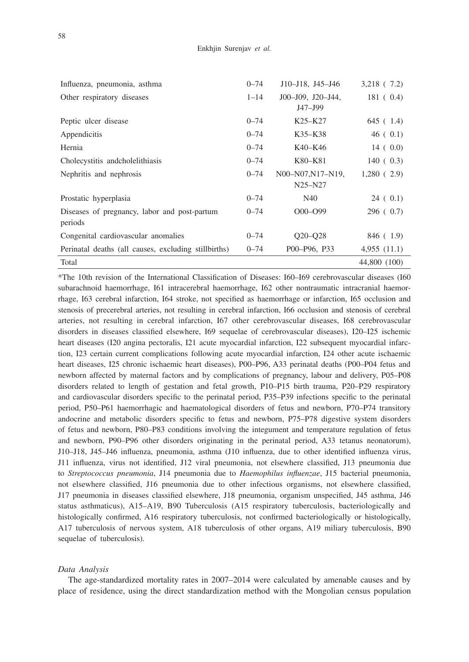| Influenza, pneumonia, asthma                         | $0 - 74$ | $J10 - J18$ , $J45 - J46$        | $3,218$ (7.2) |
|------------------------------------------------------|----------|----------------------------------|---------------|
| Other respiratory diseases                           | $1 - 14$ | J00-J09, J20-J44,                | 181(0.4)      |
|                                                      |          | J47-J99                          |               |
| Peptic ulcer disease                                 | $0 - 74$ | K <sub>25</sub> -K <sub>27</sub> | 645 (1.4)     |
| Appendicitis                                         | $0 - 74$ | K35–K38                          | 46(0.1)       |
| Hernia                                               | $0 - 74$ | K40–K46                          | 14(0.0)       |
| Cholecystitis and cholelithiasis                     | $0 - 74$ | K80–K81                          | 140(0.3)      |
| Nephritis and nephrosis                              | $0 - 74$ | N00-N07, N17-N19,                | 1,280(2.9)    |
|                                                      |          | $N25-N27$                        |               |
| Prostatic hyperplasia                                | $0 - 74$ | N40                              | 24(0.1)       |
| Diseases of pregnancy, labor and post-partum         | $0 - 74$ | $O(00 - O99)$                    | 296(0.7)      |
| periods                                              |          |                                  |               |
| Congenital cardiovascular anomalies                  | $0 - 74$ | $O20 - O28$                      | 846 (1.9)     |
| Perinatal deaths (all causes, excluding stillbirths) | $0 - 74$ | P00-P96, P33                     | 4,955(11.1)   |
| Total                                                |          |                                  | 44,800 (100)  |

\*The 10th revision of the International Classification of Diseases: I60–I69 cerebrovascular diseases (I60 subarachnoid haemorrhage, I61 intracerebral haemorrhage, I62 other nontraumatic intracranial haemorrhage, I63 cerebral infarction, I64 stroke, not specified as haemorrhage or infarction, I65 occlusion and stenosis of precerebral arteries, not resulting in cerebral infarction, I66 occlusion and stenosis of cerebral arteries, not resulting in cerebral infarction, I67 other cerebrovascular diseases, I68 cerebrovascular disorders in diseases classified elsewhere, I69 sequelae of cerebrovascular diseases), I20–I25 ischemic heart diseases (I20 angina pectoralis, I21 acute myocardial infarction, I22 subsequent myocardial infarction, I23 certain current complications following acute myocardial infarction, I24 other acute ischaemic heart diseases, I25 chronic ischaemic heart diseases), P00–P96, A33 perinatal deaths (P00–P04 fetus and newborn affected by maternal factors and by complications of pregnancy, labour and delivery, P05–P08 disorders related to length of gestation and fetal growth, P10–P15 birth trauma, P20–P29 respiratory and cardiovascular disorders specific to the perinatal period, P35–P39 infections specific to the perinatal period, P50–P61 haemorrhagic and haematological disorders of fetus and newborn, P70–P74 transitory andocrine and metabolic disorders specific to fetus and newborn, P75–P78 digestive system disorders of fetus and newborn, P80–P83 conditions involving the integument and temperature regulation of fetus and newborn, P90–P96 other disorders originating in the perinatal period, A33 tetanus neonatorum), J10–J18, J45–J46 influenza, pneumonia, asthma (J10 influenza, due to other identified influenza virus, J11 influenza, virus not identified, J12 viral pneumonia, not elsewhere classified, J13 pneumonia due to *Streptococcus pneumonia*, J14 pneumonia due to *Haemophilus influenzae*, J15 bacterial pneumonia, not elsewhere classified, J16 pneumonia due to other infectious organisms, not elsewhere classified, J17 pneumonia in diseases classified elsewhere, J18 pneumonia, organism unspecified, J45 asthma, J46 status asthmaticus), A15–A19, B90 Tuberculosis (A15 respiratory tuberculosis, bacteriologically and histologically confirmed, A16 respiratory tuberculosis, not confirmed bacteriologically or histologically, A17 tuberculosis of nervous system, A18 tuberculosis of other organs, A19 miliary tuberculosis, B90 sequelae of tuberculosis).

#### *Data Analysis*

The age-standardized mortality rates in 2007–2014 were calculated by amenable causes and by place of residence, using the direct standardization method with the Mongolian census population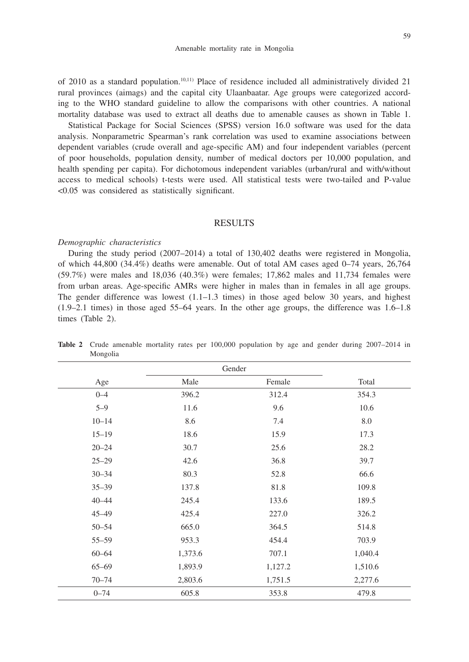of 2010 as a standard population.10,11) Place of residence included all administratively divided 21 rural provinces (aimags) and the capital city Ulaanbaatar. Age groups were categorized according to the WHO standard guideline to allow the comparisons with other countries. A national mortality database was used to extract all deaths due to amenable causes as shown in Table 1.

Statistical Package for Social Sciences (SPSS) version 16.0 software was used for the data analysis. Nonparametric Spearman's rank correlation was used to examine associations between dependent variables (crude overall and age-specific AM) and four independent variables (percent of poor households, population density, number of medical doctors per 10,000 population, and health spending per capita). For dichotomous independent variables (urban/rural and with/without access to medical schools) t-tests were used. All statistical tests were two-tailed and P-value <0.05 was considered as statistically significant.

### RESULTS

#### *Demographic characteristics*

During the study period (2007–2014) a total of 130,402 deaths were registered in Mongolia, of which 44,800 (34.4%) deaths were amenable. Out of total AM cases aged 0–74 years, 26,764 (59.7%) were males and 18,036 (40.3%) were females; 17,862 males and 11,734 females were from urban areas. Age-specific AMRs were higher in males than in females in all age groups. The gender difference was lowest  $(1.1-1.3 \text{ times})$  in those aged below 30 years, and highest (1.9–2.1 times) in those aged 55–64 years. In the other age groups, the difference was 1.6–1.8 times (Table 2).

|           | Gender  |         |         |  |  |  |  |
|-----------|---------|---------|---------|--|--|--|--|
| Age       | Male    | Female  | Total   |  |  |  |  |
| $0 - 4$   | 396.2   | 312.4   | 354.3   |  |  |  |  |
| $5 - 9$   | 11.6    | 9.6     | 10.6    |  |  |  |  |
| $10 - 14$ | 8.6     | 7.4     | 8.0     |  |  |  |  |
| $15 - 19$ | 18.6    | 15.9    | 17.3    |  |  |  |  |
| $20 - 24$ | 30.7    | 25.6    | 28.2    |  |  |  |  |
| $25 - 29$ | 42.6    | 36.8    | 39.7    |  |  |  |  |
| $30 - 34$ | 80.3    | 52.8    | 66.6    |  |  |  |  |
| $35 - 39$ | 137.8   | 81.8    | 109.8   |  |  |  |  |
| $40 - 44$ | 245.4   | 133.6   | 189.5   |  |  |  |  |
| $45 - 49$ | 425.4   | 227.0   | 326.2   |  |  |  |  |
| $50 - 54$ | 665.0   | 364.5   | 514.8   |  |  |  |  |
| $55 - 59$ | 953.3   | 454.4   | 703.9   |  |  |  |  |
| $60 - 64$ | 1,373.6 | 707.1   | 1,040.4 |  |  |  |  |
| $65 - 69$ | 1,893.9 | 1,127.2 | 1,510.6 |  |  |  |  |
| $70 - 74$ | 2,803.6 | 1,751.5 | 2,277.6 |  |  |  |  |
| $0 - 74$  | 605.8   | 353.8   | 479.8   |  |  |  |  |

**Table 2** Crude amenable mortality rates per 100,000 population by age and gender during 2007–2014 in Mongolia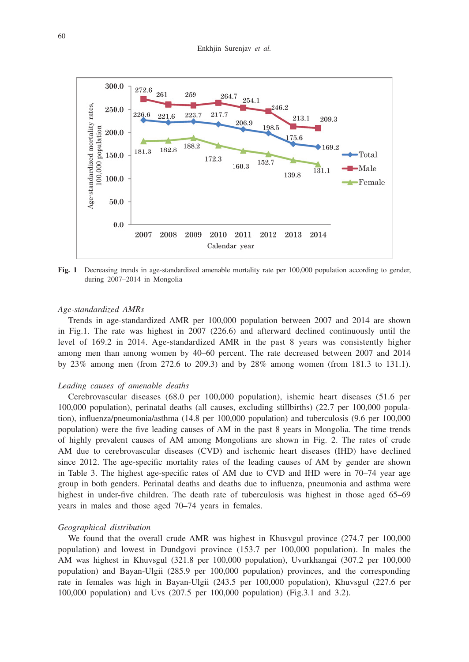

**Fig. 1** Decreasing trends in age-standardized amenable mortality rate per 100,000 population according to gender, during 2007–2014 in Mongolia

#### *Age-standardized AMRs*

Trends in age-standardized AMR per 100,000 population between 2007 and 2014 are shown in Fig.1. The rate was highest in 2007 (226.6) and afterward declined continuously until the level of 169.2 in 2014. Age-standardized AMR in the past 8 years was consistently higher among men than among women by 40–60 percent. The rate decreased between 2007 and 2014 by 23% among men (from 272.6 to 209.3) and by 28% among women (from 181.3 to 131.1).

#### *Leading causes of amenable deaths*

Cerebrovascular diseases (68.0 per 100,000 population), ishemic heart diseases (51.6 per 100,000 population), perinatal deaths (all causes, excluding stillbirths) (22.7 per 100,000 population), influenza/pneumonia/asthma (14.8 per 100,000 population) and tuberculosis (9.6 per 100,000 population) were the five leading causes of AM in the past 8 years in Mongolia. The time trends of highly prevalent causes of AM among Mongolians are shown in Fig. 2. The rates of crude AM due to cerebrovascular diseases (CVD) and ischemic heart diseases (IHD) have declined since 2012. The age-specific mortality rates of the leading causes of AM by gender are shown in Table 3. The highest age-specific rates of AM due to CVD and IHD were in 70–74 year age group in both genders. Perinatal deaths and deaths due to influenza, pneumonia and asthma were highest in under-five children. The death rate of tuberculosis was highest in those aged 65–69 years in males and those aged 70–74 years in females.

#### *Geographical distribution*

We found that the overall crude AMR was highest in Khusvgul province (274.7 per 100,000 population) and lowest in Dundgovi province (153.7 per 100,000 population). In males the AM was highest in Khuvsgul (321.8 per 100,000 population), Uvurkhangai (307.2 per 100,000 population) and Bayan-Ulgii (285.9 per 100,000 population) provinces, and the corresponding rate in females was high in Bayan-Ulgii (243.5 per 100,000 population), Khuvsgul (227.6 per 100,000 population) and Uvs (207.5 per 100,000 population) (Fig.3.1 and 3.2).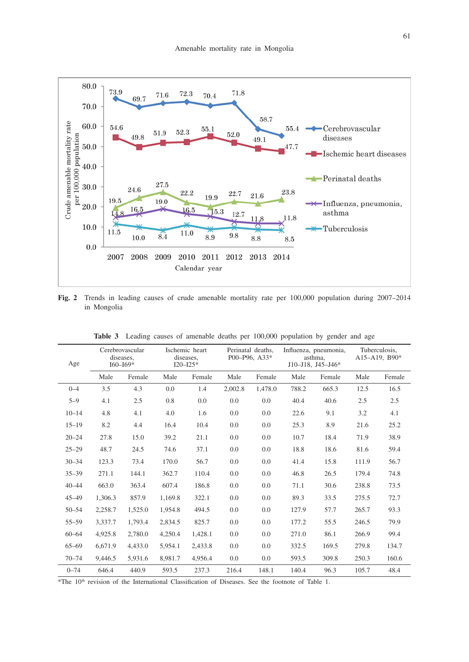

**Fig. 2** Trends in leading causes of crude amenable mortality rate per 100,000 population during 2007–2014 in Mongolia

| Age       | Cerebrovascular<br>diseases,<br>$I60 - I69*$ |         |         | Ischemic heart<br>diseases,<br>$I20 - I25*$ |         | Perinatal deaths.<br>P00-P96, A33* |       | Influenza, pneumonia,<br>asthma.<br>$J10 - J18$ , $J45 - J46*$ | Tuberculosis,<br>$A15 - A19$ , B90* |        |
|-----------|----------------------------------------------|---------|---------|---------------------------------------------|---------|------------------------------------|-------|----------------------------------------------------------------|-------------------------------------|--------|
|           | Male                                         | Female  | Male    | Female                                      | Male    | Female                             | Male  | Female                                                         | Male                                | Female |
| $0 - 4$   | 3.5                                          | 4.3     | 0.0     | 1.4                                         | 2,002.8 | 1,478.0                            | 788.2 | 665.3                                                          | 12.5                                | 16.5   |
| $5 - 9$   | 4.1                                          | 2.5     | 0.8     | 0.0                                         | 0.0     | 0.0                                | 40.4  | 40.6                                                           | 2.5                                 | 2.5    |
| $10 - 14$ | 4.8                                          | 4.1     | 4.0     | 1.6                                         | 0.0     | 0.0                                | 22.6  | 9.1                                                            | 3.2                                 | 4.1    |
| $15 - 19$ | 8.2                                          | 4.4     | 16.4    | 10.4                                        | 0.0     | 0.0                                | 25.3  | 8.9                                                            | 21.6                                | 25.2   |
| $20 - 24$ | 27.8                                         | 15.0    | 39.2    | 21.1                                        | 0.0     | 0.0                                | 10.7  | 18.4                                                           | 71.9                                | 38.9   |
| $25 - 29$ | 48.7                                         | 24.5    | 74.6    | 37.1                                        | 0.0     | 0.0                                | 18.8  | 18.6                                                           | 81.6                                | 59.4   |
| $30 - 34$ | 123.3                                        | 73.4    | 170.0   | 56.7                                        | 0.0     | 0.0                                | 41.4  | 15.8                                                           | 111.9                               | 56.7   |
| $35 - 39$ | 271.1                                        | 144.1   | 362.7   | 110.4                                       | 0.0     | 0.0                                | 46.8  | 26.5                                                           | 179.4                               | 74.8   |
| $40 - 44$ | 663.0                                        | 363.4   | 607.4   | 186.8                                       | 0.0     | 0.0                                | 71.1  | 30.6                                                           | 238.8                               | 73.5   |
| $45 - 49$ | 1,306.3                                      | 857.9   | 1,169.8 | 322.1                                       | 0.0     | 0.0                                | 89.3  | 33.5                                                           | 275.5                               | 72.7   |
| $50 - 54$ | 2,258.7                                      | 1,525.0 | 1,954.8 | 494.5                                       | 0.0     | 0.0                                | 127.9 | 57.7                                                           | 265.7                               | 93.3   |
| $55 - 59$ | 3.337.7                                      | 1.793.4 | 2.834.5 | 825.7                                       | 0.0     | 0.0                                | 177.2 | 55.5                                                           | 246.5                               | 79.9   |
| $60 - 64$ | 4.925.8                                      | 2,780.0 | 4,250.4 | 1,428.1                                     | 0.0     | 0.0                                | 271.0 | 86.1                                                           | 266.9                               | 99.4   |
| $65 - 69$ | 6.671.9                                      | 4.433.0 | 5.954.1 | 2.433.8                                     | 0.0     | 0.0                                | 332.5 | 169.5                                                          | 279.8                               | 134.7  |
| $70 - 74$ | 9,446.5                                      | 5,931.6 | 8,981.7 | 4,956.4                                     | 0.0     | 0.0                                | 593.5 | 309.8                                                          | 250.3                               | 160.6  |
| $0 - 74$  | 646.4                                        | 440.9   | 593.5   | 237.3                                       | 216.4   | 148.1                              | 140.4 | 96.3                                                           | 105.7                               | 48.4   |

**Table 3** Leading causes of amenable deaths per 100,000 population by gender and age

\*The 10th revision of the International Classification of Diseases. See the footnote of Table 1.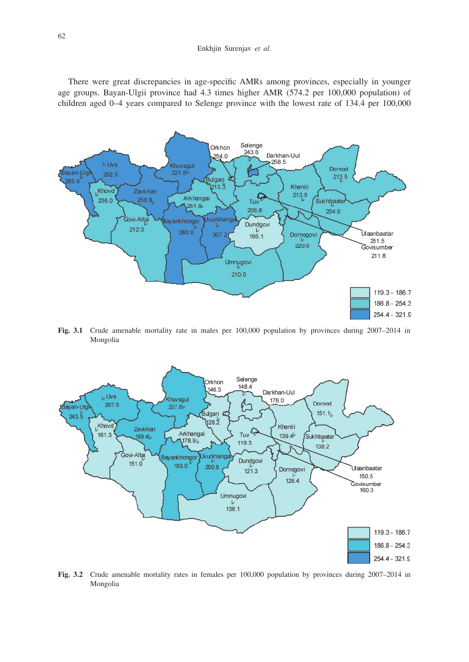#### Enkhjin Surenjav *et al.*

There were great discrepancies in age-specific AMRs among provinces, especially in younger age groups. Bayan-Ulgii province had 4.3 times higher AMR (574.2 per 100,000 population) of children aged 0–4 years compared to Selenge province with the lowest rate of 134.4 per 100,000



**Fig. 3.1** Crude amenable mortality rate in males per 100,000 population by provinces during 2007–2014 in Mongolia



**Fig. 3.2** Crude amenable mortality rates in females per 100,000 population by provinces during 2007–2014 in Mongolia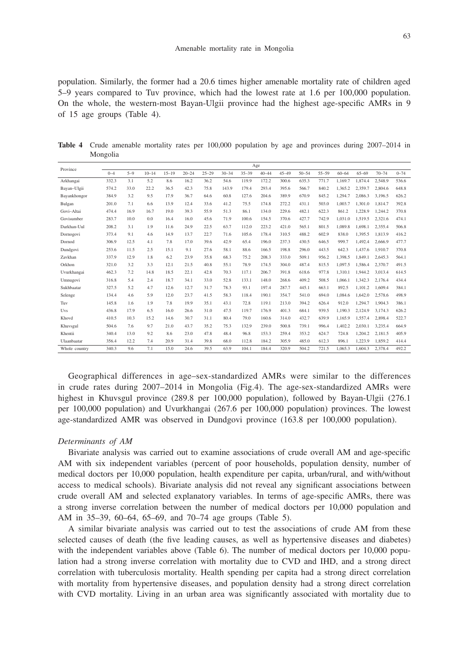population. Similarly, the former had a 20.6 times higher amenable mortality rate of children aged 5–9 years compared to Tuv province, which had the lowest rate at 1.6 per 100,000 population. On the whole, the western-most Bayan-Ulgii province had the highest age-specific AMRs in 9 of 15 age groups (Table 4).

**Table 4** Crude amenable mortality rates per 100,000 population by age and provinces during 2007–2014 in Mongolia

| Province      | Age     |         |           |           |           |           |           |           |           |           |           |           |           |           |           |          |
|---------------|---------|---------|-----------|-----------|-----------|-----------|-----------|-----------|-----------|-----------|-----------|-----------|-----------|-----------|-----------|----------|
|               | $0 - 4$ | $5 - 9$ | $10 - 14$ | $15 - 19$ | $20 - 24$ | $25 - 29$ | $30 - 34$ | $35 - 39$ | $40 - 44$ | $45 - 49$ | $50 - 54$ | $55 - 59$ | $60 - 64$ | $65 - 69$ | $70 - 74$ | $0 - 74$ |
| Arkhangai     | 332.3   | 3.1     | 5.2       | 8.6       | 16.2      | 36.2      | 54.6      | 119.9     | 172.2     | 300.6     | 635.3     | 771.7     | 1.169.7   | 1.874.4   | 2.548.9   | 536.6    |
| Bayan-Ulgii   | 574.2   | 33.0    | 22.2      | 36.5      | 42.3      | 75.8      | 143.9     | 179.4     | 293.4     | 395.6     | 566.7     | 840.2     | 1.365.2   | 2.359.7   | 2.804.6   | 648.8    |
| Bayankhongor  | 384.9   | 3.2     | 9.5       | 17.9      | 36.7      | 64.6      | 60.8      | 127.6     | 204.6     | 389.9     | 670.9     | 845.2     | 1.294.7   | 2.086.3   | 3.196.5   | 626.2    |
| Bulgan        | 201.0   | 7.1     | 6.6       | 13.9      | 12.4      | 33.6      | 41.2      | 75.5      | 174.8     | 272.2     | 431.1     | 503.0     | 1.003.7   | 1.301.0   | 1,814.7   | 392.8    |
| Govi-Altai    | 474.4   | 16.9    | 16.7      | 19.0      | 39.3      | 55.9      | 51.3      | 86.1      | 134.0     | 229.6     | 482.1     | 622.3     | 861.2     | 1.228.9   | 1.244.2   | 370.8    |
| Govisumber    | 283.7   | 10.0    | 0.0       | 16.4      | 16.0      | 45.6      | 71.9      | 100.6     | 154.5     | 370.6     | 427.7     | 742.9     | 1.031.0   | 1.519.5   | 2.321.6   | 474.1    |
| Darkhan-Uul   | 208.2   | 3.1     | 1.9       | 11.6      | 24.9      | 22.5      | 63.7      | 112.0     | 223.2     | 421.0     | 565.1     | 801.5     | 1.089.8   | 1,698.1   | 2,355.4   | 506.8    |
| Dornogovi     | 373.4   | 9.1     | 4.6       | 14.9      | 13.7      | 22.7      | 71.6      | 105.6     | 178.4     | 310.5     | 488.2     | 602.9     | 838.0     | 1.395.5   | 1.813.9   | 416.2    |
| Dornod        | 306.9   | 12.5    | 4.1       | 7.8       | 17.0      | 39.6      | 42.9      | 65.4      | 196.0     | 237.3     | 430.5     | 646.5     | 999.7     | 1.492.4   | 2.666.9   | 477.7    |
| Dundgovi      | 253.6   | 11.5    | 2.5       | 15.1      | 9.1       | 27.6      | 58.1      | 88.6      | 166.5     | 198.8     | 296.0     | 443.5     | 642.3     | 1,437.6   | 1,910.7   | 370.8    |
| Zavkhan       | 337.9   | 12.9    | 1.8       | 6.2       | 23.9      | 35.8      | 68.3      | 75.2      | 208.3     | 333.0     | 509.1     | 956.2     | 1.398.5   | 1,849.1   | 2.645.3   | 564.1    |
| Orkhon        | 321.0   | 3.2     | 3.3       | 12.1      | 21.5      | 40.8      | 55.1      | 78.9      | 174.5     | 304.0     | 487.4     | 815.5     | 1.097.5   | 1.586.4   | 2,370.7   | 491.5    |
| Uvurkhangai   | 462.3   | 7.2     | 14.8      | 18.5      | 22.1      | 42.8      | 70.3      | 117.1     | 206.7     | 391.8     | 618.6     | 977.8     | 1.310.1   | 1.944.2   | 3.013.4   | 614.5    |
| Umnugovi      | 316.8   | 5.4     | 2.4       | 18.7      | 34.1      | 33.0      | 52.8      | 133.1     | 148.0     | 268.6     | 409.2     | 508.5     | 1.066.1   | 1.342.3   | 2.176.4   | 434.4    |
| Sukhbaatar    | 327.5   | 5.2     | 4.7       | 12.6      | 12.7      | 31.7      | 78.3      | 93.1      | 197.4     | 287.7     | 445.1     | 663.1     | 892.5     | 1.101.2   | 1,609.4   | 384.1    |
| Selenge       | 134.4   | 4.6     | 5.9       | 12.0      | 23.7      | 41.5      | 58.3      | 118.4     | 190.1     | 354.7     | 541.0     | 694.0     | 1,084.6   | 1.642.0   | 2.578.6   | 498.9    |
| Tuv           | 145.8   | 1.6     | 1.9       | 7.8       | 19.9      | 35.1      | 43.1      | 72.8      | 119.1     | 213.0     | 394.2     | 626.4     | 912.0     | 1.294.7   | 1.904.3   | 386.1    |
| Uvs           | 436.8   | 17.9    | 6.5       | 16.0      | 26.6      | 31.0      | 47.5      | 119.7     | 176.9     | 401.3     | 684.1     | 939.5     | 1.190.3   | 2.124.9   | 3.174.3   | 626.2    |
| Khovd         | 410.5   | 10.3    | 15.2      | 14.6      | 30.7      | 31.1      | 80.4      | 79.0      | 160.6     | 314.0     | 432.7     | 639.9     | 1.165.9   | 1.557.4   | 2,898.4   | 522.7    |
| Khuvsgul      | 504.6   | 7.6     | 9.7       | 21.0      | 43.7      | 35.2      | 75.3      | 132.9     | 239.0     | 500.8     | 739.1     | 996.4     | 1.402.2   | 2.030.1   | 3,235.4   | 664.9    |
| Khentii       | 340.4   | 13.0    | 9.2       | 8.6       | 23.0      | 47.8      | 48.4      | 96.8      | 153.3     | 259.4     | 353.2     | 624.7     | 724.8     | 1.204.2   | 2.181.5   | 405.9    |
| Ulaanbaatar   | 356.4   | 12.2    | 7.4       | 20.9      | 31.4      | 39.8      | 68.0      | 112.8     | 184.2     | 305.9     | 485.0     | 612.3     | 896.1     | 1.223.9   | 1.859.2   | 414.4    |
| Whole country | 340.3   | 9.6     | 7.1       | 15.0      | 24.6      | 39.5      | 63.9      | 104.1     | 184.4     | 320.9     | 504.2     | 721.5     | 1.065.3   | 1.604.3   | 2.378.4   | 492.2    |

Geographical differences in age–sex-standardized AMRs were similar to the differences in crude rates during 2007–2014 in Mongolia (Fig.4). The age-sex-standardized AMRs were highest in Khuvsgul province (289.8 per 100,000 population), followed by Bayan-Ulgii (276.1 per 100,000 population) and Uvurkhangai (267.6 per 100,000 population) provinces. The lowest age-standardized AMR was observed in Dundgovi province (163.8 per 100,000 population).

### *Determinants of AM*

Bivariate analysis was carried out to examine associations of crude overall AM and age-specific AM with six independent variables (percent of poor households, population density, number of medical doctors per 10,000 population, health expenditure per capita, urban/rural, and with/without access to medical schools). Bivariate analysis did not reveal any significant associations between crude overall AM and selected explanatory variables. In terms of age-specific AMRs, there was a strong inverse correlation between the number of medical doctors per 10,000 population and AM in 35–39, 60–64, 65–69, and 70–74 age groups (Table 5).

A similar bivariate analysis was carried out to test the associations of crude AM from these selected causes of death (the five leading causes, as well as hypertensive diseases and diabetes) with the independent variables above (Table 6). The number of medical doctors per 10,000 population had a strong inverse correlation with mortality due to CVD and IHD, and a strong direct correlation with tuberculosis mortality. Health spending per capita had a strong direct correlation with mortality from hypertensive diseases, and population density had a strong direct correlation with CVD mortality. Living in an urban area was significantly associated with mortality due to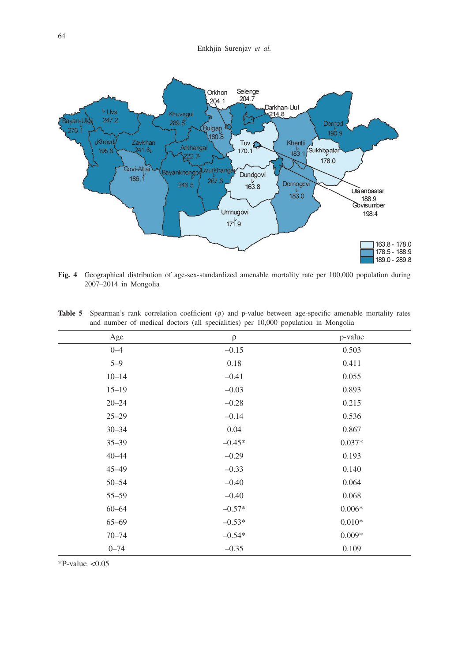Enkhjin Surenjav *et al.*



**Fig. 4** Geographical distribution of age-sex-standardized amenable mortality rate per 100,000 population during 2007–2014 in Mongolia

| $\rho$   | p-value  |
|----------|----------|
| $-0.15$  | 0.503    |
| 0.18     | 0.411    |
| $-0.41$  | 0.055    |
| $-0.03$  | 0.893    |
| $-0.28$  | 0.215    |
| $-0.14$  | 0.536    |
| 0.04     | 0.867    |
| $-0.45*$ | $0.037*$ |
| $-0.29$  | 0.193    |
| $-0.33$  | 0.140    |
| $-0.40$  | 0.064    |
| $-0.40$  | 0.068    |
| $-0.57*$ | $0.006*$ |
| $-0.53*$ | $0.010*$ |
| $-0.54*$ | $0.009*$ |
| $-0.35$  | 0.109    |
|          |          |

**Table 5** Spearman's rank correlation coefficient (ρ) and p-value between age-specific amenable mortality rates and number of medical doctors (all specialities) per 10,000 population in Mongolia

 $*P-value < 0.05$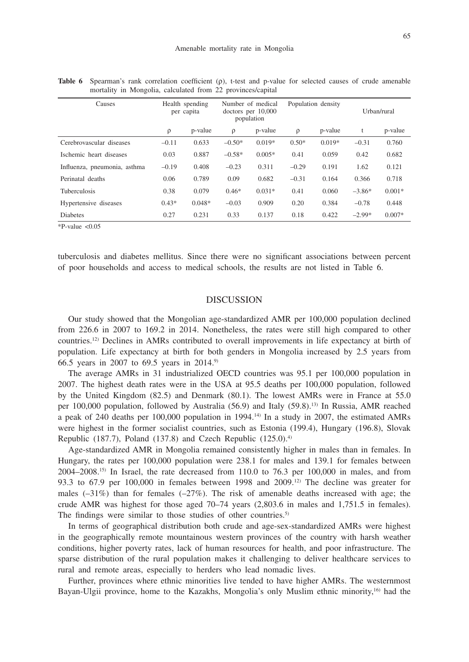| Causes                       |         | Health spending<br>per capita |          | Number of medical<br>doctors per $10,000$<br>population |         | Population density | Urban/rural |          |  |
|------------------------------|---------|-------------------------------|----------|---------------------------------------------------------|---------|--------------------|-------------|----------|--|
|                              | ρ       | p-value                       | $\rho$   | p-value                                                 | $\rho$  | p-value            | t           | p-value  |  |
| Cerebrovascular diseases     | $-0.11$ | 0.633                         | $-0.50*$ | $0.019*$                                                | $0.50*$ | $0.019*$           | $-0.31$     | 0.760    |  |
| Ischemic heart diseases      | 0.03    | 0.887                         | $-0.58*$ | $0.005*$                                                | 0.41    | 0.059              | 0.42        | 0.682    |  |
| Influenza, pneumonia, asthma | $-0.19$ | 0.408                         | $-0.23$  | 0.311                                                   | $-0.29$ | 0.191              | 1.62        | 0.121    |  |
| Perinatal deaths             | 0.06    | 0.789                         | 0.09     | 0.682                                                   | $-0.31$ | 0.164              | 0.366       | 0.718    |  |
| <b>Tuberculosis</b>          | 0.38    | 0.079                         | $0.46*$  | $0.031*$                                                | 0.41    | 0.060              | $-3.86*$    | $0.001*$ |  |
| Hypertensive diseases        | $0.43*$ | $0.048*$                      | $-0.03$  | 0.909                                                   | 0.20    | 0.384              | $-0.78$     | 0.448    |  |
| <b>Diabetes</b>              | 0.27    | 0.231                         | 0.33     | 0.137                                                   | 0.18    | 0.422              | $-2.99*$    | $0.007*$ |  |

**Table 6** Spearman's rank correlation coefficient (ρ), t-test and p-value for selected causes of crude amenable mortality in Mongolia, calculated from 22 provinces/capital

 $*P-value < 0.05$ 

tuberculosis and diabetes mellitus. Since there were no significant associations between percent of poor households and access to medical schools, the results are not listed in Table 6.

# DISCUSSION

Our study showed that the Mongolian age-standardized AMR per 100,000 population declined from 226.6 in 2007 to 169.2 in 2014. Nonetheless, the rates were still high compared to other countries.12) Declines in AMRs contributed to overall improvements in life expectancy at birth of population. Life expectancy at birth for both genders in Mongolia increased by 2.5 years from 66.5 years in 2007 to 69.5 years in 2014.9)

The average AMRs in 31 industrialized OECD countries was 95.1 per 100,000 population in 2007. The highest death rates were in the USA at 95.5 deaths per 100,000 population, followed by the United Kingdom (82.5) and Denmark (80.1). The lowest AMRs were in France at 55.0 per 100,000 population, followed by Australia (56.9) and Italy (59.8).<sup>13)</sup> In Russia, AMR reached a peak of 240 deaths per 100,000 population in 1994.<sup>14)</sup> In a study in 2007, the estimated AMRs were highest in the former socialist countries, such as Estonia (199.4), Hungary (196.8), Slovak Republic (187.7), Poland (137.8) and Czech Republic  $(125.0)^{4}$ 

Age-standardized AMR in Mongolia remained consistently higher in males than in females. In Hungary, the rates per 100,000 population were 238.1 for males and 139.1 for females between  $2004-2008$ .<sup>15)</sup> In Israel, the rate decreased from 110.0 to 76.3 per 100,000 in males, and from 93.3 to  $67.9$  per  $100,000$  in females between 1998 and  $2009$ .<sup>12)</sup> The decline was greater for males  $(-31\%)$  than for females  $(-27\%)$ . The risk of amenable deaths increased with age; the crude AMR was highest for those aged 70–74 years (2,803.6 in males and 1,751.5 in females). The findings were similar to those studies of other countries.<sup>5)</sup>

In terms of geographical distribution both crude and age-sex-standardized AMRs were highest in the geographically remote mountainous western provinces of the country with harsh weather conditions, higher poverty rates, lack of human resources for health, and poor infrastructure. The sparse distribution of the rural population makes it challenging to deliver healthcare services to rural and remote areas, especially to herders who lead nomadic lives.

Further, provinces where ethnic minorities live tended to have higher AMRs. The westernmost Bayan-Ulgii province, home to the Kazakhs, Mongolia's only Muslim ethnic minority,16) had the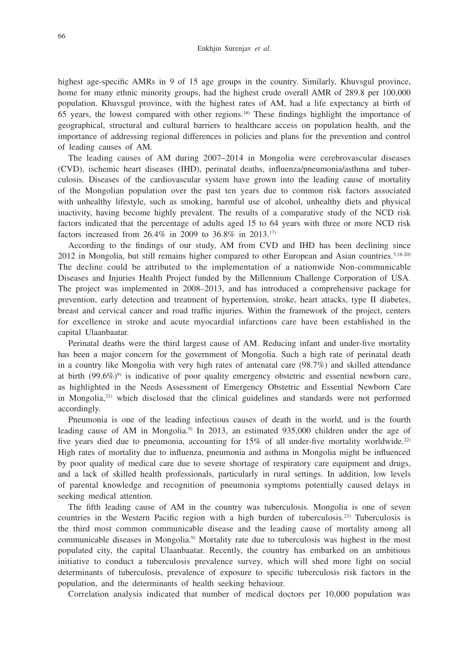highest age-specific AMRs in 9 of 15 age groups in the country. Similarly, Khuvsgul province, home for many ethnic minority groups, had the highest crude overall AMR of 289.8 per 100,000 population. Khuvsgul province, with the highest rates of AM, had a life expectancy at birth of 65 years, the lowest compared with other regions.<sup>16</sup> These findings highlight the importance of geographical, structural and cultural barriers to healthcare access on population health, and the importance of addressing regional differences in policies and plans for the prevention and control of leading causes of AM.

The leading causes of AM during 2007–2014 in Mongolia were cerebrovascular diseases (CVD), ischemic heart diseases (IHD), perinatal deaths, influenza/pneumonia/asthma and tuberculosis. Diseases of the cardiovascular system have grown into the leading cause of mortality of the Mongolian population over the past ten years due to common risk factors associated with unhealthy lifestyle, such as smoking, harmful use of alcohol, unhealthy diets and physical inactivity, having become highly prevalent. The results of a comparative study of the NCD risk factors indicated that the percentage of adults aged 15 to 64 years with three or more NCD risk factors increased from 26.4% in 2009 to 36.8% in 2013.17)

According to the findings of our study, AM from CVD and IHD has been declining since 2012 in Mongolia, but still remains higher compared to other European and Asian countries.<sup>5,18-20)</sup> The decline could be attributed to the implementation of a nationwide Non-communicable Diseases and Injuries Health Project funded by the Millennium Challenge Corporation of USA. The project was implemented in 2008–2013, and has introduced a comprehensive package for prevention, early detection and treatment of hypertension, stroke, heart attacks, type II diabetes, breast and cervical cancer and road traffic injuries. Within the framework of the project, centers for excellence in stroke and acute myocardial infarctions care have been established in the capital Ulaanbaatar.

Perinatal deaths were the third largest cause of AM. Reducing infant and under-five mortality has been a major concern for the government of Mongolia. Such a high rate of perinatal death in a country like Mongolia with very high rates of antenatal care (98.7%) and skilled attendance at birth  $(99.6\%)$ <sup>9</sup> is indicative of poor quality emergency obstetric and essential newborn care, as highlighted in the Needs Assessment of Emergency Obstetric and Essential Newborn Care in Mongolia, $21$ ) which disclosed that the clinical guidelines and standards were not performed accordingly.

Pneumonia is one of the leading infectious causes of death in the world, and is the fourth leading cause of AM in Mongolia.<sup>9)</sup> In 2013, an estimated 935,000 children under the age of five years died due to pneumonia, accounting for 15% of all under-five mortality worldwide.<sup>22)</sup> High rates of mortality due to influenza, pneumonia and asthma in Mongolia might be influenced by poor quality of medical care due to severe shortage of respiratory care equipment and drugs, and a lack of skilled health professionals, particularly in rural settings. In addition, low levels of parental knowledge and recognition of pneumonia symptoms potentially caused delays in seeking medical attention.

The fifth leading cause of AM in the country was tuberculosis. Mongolia is one of seven countries in the Western Pacific region with a high burden of tuberculosis.23) Tuberculosis is the third most common communicable disease and the leading cause of mortality among all communicable diseases in Mongolia.<sup>9)</sup> Mortality rate due to tuberculosis was highest in the most populated city, the capital Ulaanbaatar. Recently, the country has embarked on an ambitious initiative to conduct a tuberculosis prevalence survey, which will shed more light on social determinants of tuberculosis, prevalence of exposure to specific tuberculosis risk factors in the population, and the determinants of health seeking behaviour.

Correlation analysis indicated that number of medical doctors per 10,000 population was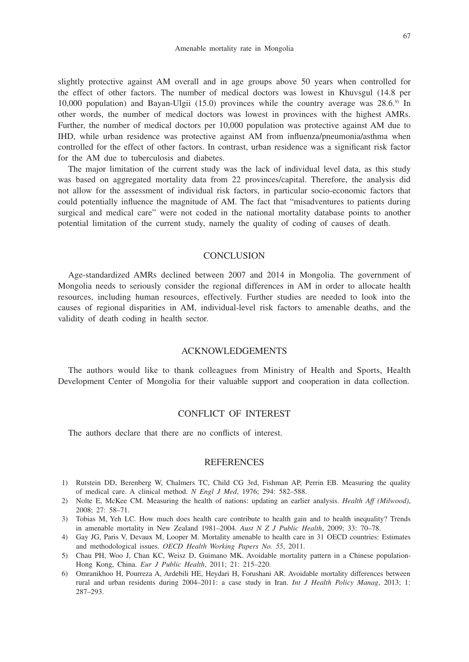slightly protective against AM overall and in age groups above 50 years when controlled for the effect of other factors. The number of medical doctors was lowest in Khuvsgul (14.8 per 10,000 population) and Bayan-Ulgii (15.0) provinces while the country average was  $28.6$ .<sup>9)</sup> In other words, the number of medical doctors was lowest in provinces with the highest AMRs. Further, the number of medical doctors per 10,000 population was protective against AM due to IHD, while urban residence was protective against AM from influenza/pneumonia/asthma when controlled for the effect of other factors. In contrast, urban residence was a significant risk factor for the AM due to tuberculosis and diabetes.

The major limitation of the current study was the lack of individual level data, as this study was based on aggregated mortality data from 22 provinces/capital. Therefore, the analysis did not allow for the assessment of individual risk factors, in particular socio-economic factors that could potentially influence the magnitude of AM. The fact that "misadventures to patients during surgical and medical care" were not coded in the national mortality database points to another potential limitation of the current study, namely the quality of coding of causes of death.

### **CONCLUSION**

Age-standardized AMRs declined between 2007 and 2014 in Mongolia. The government of Mongolia needs to seriously consider the regional differences in AM in order to allocate health resources, including human resources, effectively. Further studies are needed to look into the causes of regional disparities in AM, individual-level risk factors to amenable deaths, and the validity of death coding in health sector.

### ACKNOWLEDGEMENTS

The authors would like to thank colleagues from Ministry of Health and Sports, Health Development Center of Mongolia for their valuable support and cooperation in data collection.

# CONFLICT OF INTEREST

The authors declare that there are no conflicts of interest.

## **REFERENCES**

- 1) Rutstein DD, Berenberg W, Chalmers TC, Child CG 3rd, Fishman AP, Perrin EB. Measuring the quality of medical care. A clinical method. *N Engl J Med*, 1976; 294: 582–588.
- 2) Nolte E, McKee CM. Measuring the health of nations: updating an earlier analysis. *Health Aff (Milwood)*, 2008; 27: 58–71.
- 3) Tobias M, Yeh LC. How much does health care contribute to health gain and to health inequality? Trends in amenable mortality in New Zealand 1981–2004. *Aust N Z J Public Health*, 2009; 33: 70–78.
- 4) Gay JG, Paris V, Devaux M, Looper M. Mortality amenable to health care in 31 OECD countries: Estimates and methodological issues. *OECD Health Working Papers No. 55*, 2011.
- 5) Chau PH, Woo J, Chan KC, Weisz D, Guimano MK. Avoidable mortality pattern in a Chinese population-Hong Kong, China. *Eur J Public Health*, 2011; 21: 215–220.
- 6) Omranikhoo H, Pourreza A, Ardebili HE, Heydari H, Forushani AR. Avoidable mortality differences between rural and urban residents during 2004–2011: a case study in Iran. *Int J Health Policy Manag*, 2013; 1: 287–293.